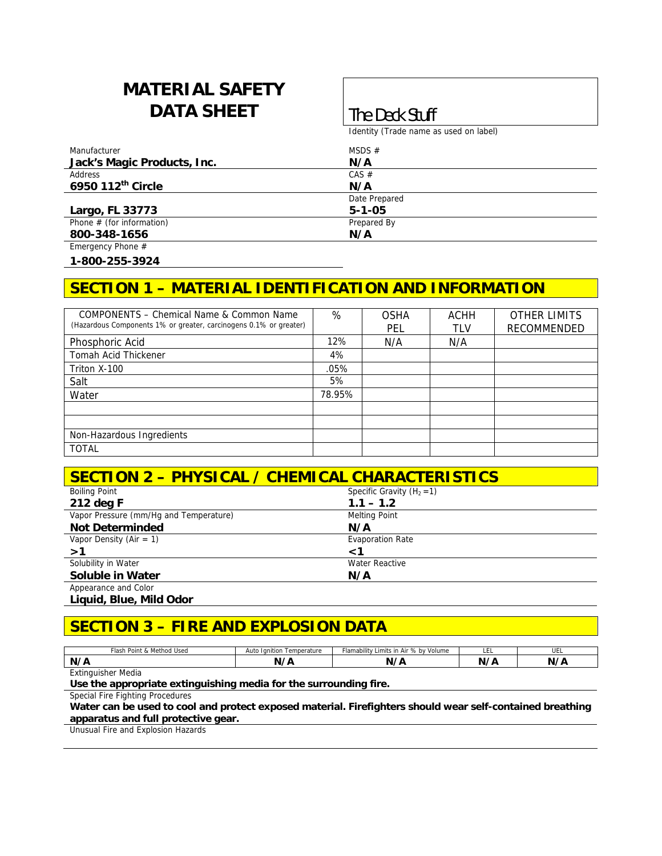# **MATERIAL SAFETY DATA SHEET The Deck Stuff**

Identity (Trade name as used on label)

| Manufacturer                  | MSDS $#$      |  |
|-------------------------------|---------------|--|
| Jack's Magic Products, Inc.   | N/A           |  |
| Address                       | $CAS \#$      |  |
| 6950 112 <sup>th</sup> Circle | N/A           |  |
|                               | Date Prepared |  |
| Largo, FL 33773               | $5 - 1 - 05$  |  |
| Phone $#$ (for information)   | Prepared By   |  |
| 800-348-1656                  | N/A           |  |
| Emergency Phone #             |               |  |

**1-800-255-3924** 

## **SECTION 1 – MATERIAL IDENTIFICATION AND INFORMATION**

| COMPONENTS - Chemical Name & Common Name                          | %      | <b>OSHA</b> | <b>ACHH</b> | <b>OTHER LIMITS</b> |
|-------------------------------------------------------------------|--------|-------------|-------------|---------------------|
| (Hazardous Components 1% or greater, carcinogens 0.1% or greater) |        | PEL         | TLV         | RECOMMENDED         |
| Phosphoric Acid                                                   | 12%    | N/A         | N/A         |                     |
| Tomah Acid Thickener                                              | 4%     |             |             |                     |
| Triton X-100                                                      | .05%   |             |             |                     |
| Salt                                                              | 5%     |             |             |                     |
| Water                                                             | 78.95% |             |             |                     |
|                                                                   |        |             |             |                     |
|                                                                   |        |             |             |                     |
| Non-Hazardous Ingredients                                         |        |             |             |                     |
| <b>TOTAL</b>                                                      |        |             |             |                     |

| <b>SECTION 2 - PHYSICAL / CHEMICAL CHARACTERISTICS</b> |                              |  |
|--------------------------------------------------------|------------------------------|--|
| <b>Boiling Point</b>                                   | Specific Gravity $(H_2 = 1)$ |  |
| 212 deg F                                              | $1.1 - 1.2$                  |  |
| Vapor Pressure (mm/Hq and Temperature)                 | <b>Melting Point</b>         |  |
| <b>Not Determinded</b>                                 | N/A                          |  |
| Vapor Density (Air = $1$ )                             | <b>Evaporation Rate</b>      |  |
| >1                                                     | ا>                           |  |
| Solubility in Water                                    | Water Reactive               |  |
| <b>Soluble in Water</b>                                | N/A                          |  |
| Appearance and Color                                   |                              |  |
| Liquid, Blue, Mild Odor                                |                              |  |

# **SECTION 3 – FIRE AND EXPLOSION DATA**

| Flash Point & Method Used | Temperature<br>Ignition<br>Auto | Flamability Limits in Air % by Volume | -<br>ᄔ   | <br>UEL |
|---------------------------|---------------------------------|---------------------------------------|----------|---------|
| N/A                       | N/I                             | N,                                    | N<br>. . | N/F     |
| <b>Extinguisher Media</b> |                                 |                                       |          |         |

**Use the appropriate extinguishing media for the surrounding fire.** 

Special Fire Fighting Procedures

**Water can be used to cool and protect exposed material. Firefighters should wear self-contained breathing apparatus and full protective gear.** 

Unusual Fire and Explosion Hazards